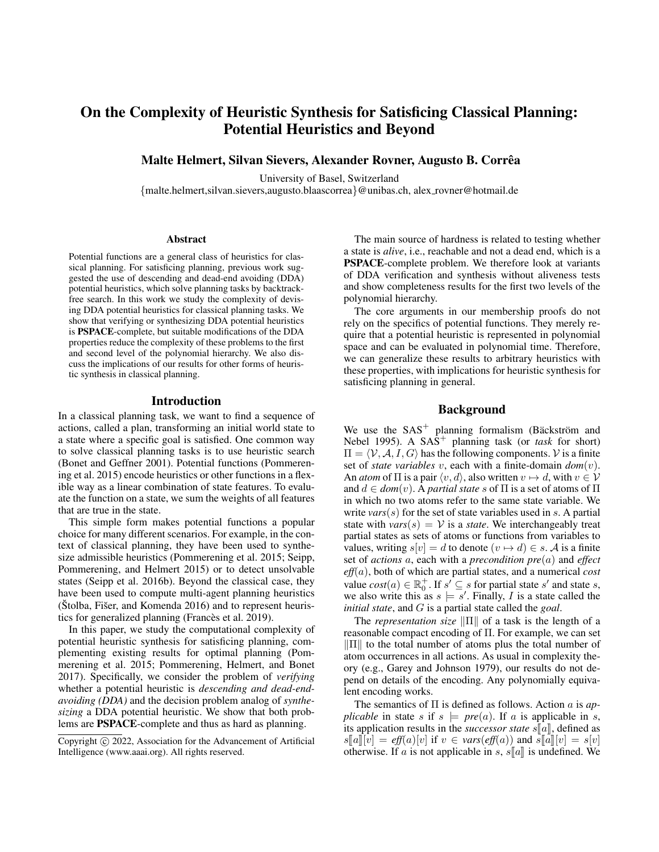# On the Complexity of Heuristic Synthesis for Satisficing Classical Planning: Potential Heuristics and Beyond

Malte Helmert, Silvan Sievers, Alexander Rovner, Augusto B. Correaˆ

University of Basel, Switzerland

{malte.helmert,silvan.sievers,augusto.blaascorrea}@unibas.ch, alex rovner@hotmail.de

#### **Abstract**

Potential functions are a general class of heuristics for classical planning. For satisficing planning, previous work suggested the use of descending and dead-end avoiding (DDA) potential heuristics, which solve planning tasks by backtrackfree search. In this work we study the complexity of devising DDA potential heuristics for classical planning tasks. We show that verifying or synthesizing DDA potential heuristics is PSPACE-complete, but suitable modifications of the DDA properties reduce the complexity of these problems to the first and second level of the polynomial hierarchy. We also discuss the implications of our results for other forms of heuristic synthesis in classical planning.

## Introduction

In a classical planning task, we want to find a sequence of actions, called a plan, transforming an initial world state to a state where a specific goal is satisfied. One common way to solve classical planning tasks is to use heuristic search (Bonet and Geffner 2001). Potential functions (Pommerening et al. 2015) encode heuristics or other functions in a flexible way as a linear combination of state features. To evaluate the function on a state, we sum the weights of all features that are true in the state.

This simple form makes potential functions a popular choice for many different scenarios. For example, in the context of classical planning, they have been used to synthesize admissible heuristics (Pommerening et al. 2015; Seipp, Pommerening, and Helmert 2015) or to detect unsolvable states (Seipp et al. 2016b). Beyond the classical case, they have been used to compute multi-agent planning heuristics  $(Stolba, Fišer, and Komenda 2016)$  and to represent heuristics for generalized planning (Francès et al. 2019).

In this paper, we study the computational complexity of potential heuristic synthesis for satisficing planning, complementing existing results for optimal planning (Pommerening et al. 2015; Pommerening, Helmert, and Bonet 2017). Specifically, we consider the problem of *verifying* whether a potential heuristic is *descending and dead-endavoiding (DDA)* and the decision problem analog of *synthesizing* a DDA potential heuristic. We show that both problems are PSPACE-complete and thus as hard as planning.

The main source of hardness is related to testing whether a state is *alive*, i.e., reachable and not a dead end, which is a PSPACE-complete problem. We therefore look at variants of DDA verification and synthesis without aliveness tests and show completeness results for the first two levels of the polynomial hierarchy.

The core arguments in our membership proofs do not rely on the specifics of potential functions. They merely require that a potential heuristic is represented in polynomial space and can be evaluated in polynomial time. Therefore, we can generalize these results to arbitrary heuristics with these properties, with implications for heuristic synthesis for satisficing planning in general.

# Background

We use the  $SAS^+$  planning formalism (Bäckström and Nebel 1995). A  $SAS^+$  planning task (or *task* for short)  $\Pi = \langle V, A, I, G \rangle$  has the following components. V is a finite set of *state variables* v, each with a finite-domain *dom*(v). An *atom* of  $\Pi$  is a pair  $\langle v, d \rangle$ , also written  $v \mapsto d$ , with  $v \in V$ and  $d \in dom(v)$ . A *partial state* s of  $\Pi$  is a set of atoms of  $\Pi$ in which no two atoms refer to the same state variable. We write *vars*(s) for the set of state variables used in s. A partial state with  $vars(s) = V$  is a *state*. We interchangeably treat partial states as sets of atoms or functions from variables to values, writing  $s[v] = d$  to denote  $(v \mapsto d) \in s$ . A is a finite set of *actions* a, each with a *precondition pre*(a) and *effect eff*(a), both of which are partial states, and a numerical *cost* value  $cost(a) \in \mathbb{R}_0^+$ . If  $s' \subseteq s$  for partial state s' and state s, we also write this as  $s \models s'$ . Finally, I is a state called the *initial state*, and G is a partial state called the *goal*.

The *representation size*  $\|\Pi\|$  of a task is the length of a reasonable compact encoding of Π. For example, we can set  $\|\Pi\|$  to the total number of atoms plus the total number of atom occurrences in all actions. As usual in complexity theory (e.g., Garey and Johnson 1979), our results do not depend on details of the encoding. Any polynomially equivalent encoding works.

The semantics of Π is defined as follows. Action a is *applicable* in state s if  $s \models pre(a)$ . If a is applicable in s, its application results in the *successor state*  $s[a]$ , defined as  $s\llbracket a\rrbracket[v] = eff(a)[v]$  if  $v \in vars(eff(a))$  and  $\overline{s}\llbracket a\rrbracket[v] = s[v]$ otherwise. If a is not applicable in s,  $s[[a]]$  is undefined. We

Copyright  $\odot$  2022, Association for the Advancement of Artificial Intelligence (www.aaai.org). All rights reserved.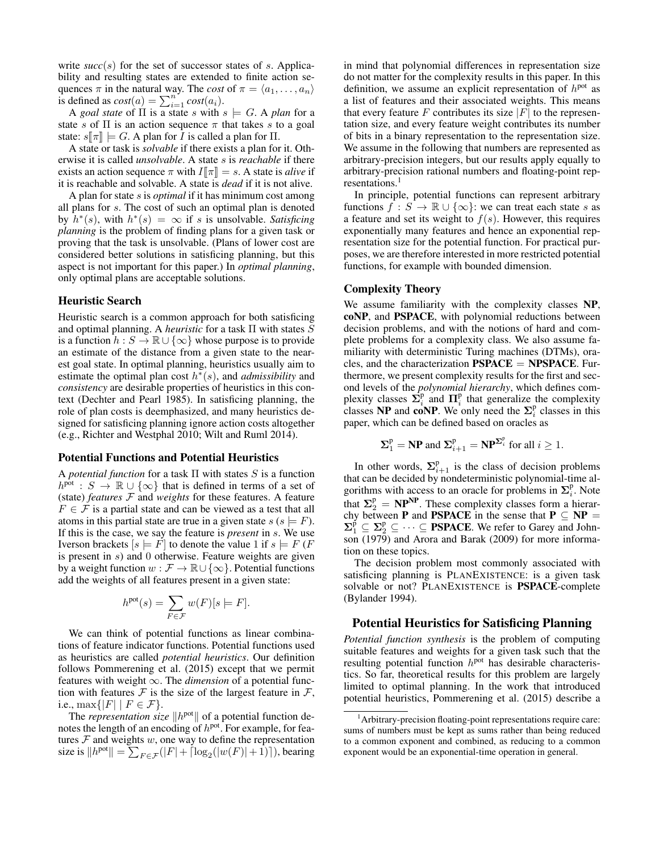write  $succ(s)$  for the set of successor states of s. Applicability and resulting states are extended to finite action sequences  $\pi$  in the natural way. The *cost* of  $\pi = \langle a_1, \dots, a_n \rangle$ is defined as  $cost(a) = \sum_{i=1}^{n} cost(a_i)$ .

A *goal state* of  $\Pi$  is a state s with  $s \models G$ . A *plan* for a state s of  $\Pi$  is an action sequence  $\pi$  that takes s to a goal state:  $s[\![\pi]\!] \models G$ . A plan for *I* is called a plan for  $\Pi$ .

A state or task is *solvable* if there exists a plan for it. Otherwise it is called *unsolvable*. A state s is *reachable* if there exists an action sequence  $\pi$  with  $I[\![\pi]\!] = s$ . A state is *alive* if it is reachable and solvable. A state is *dead* if it is not alive.

A plan for state s is *optimal* if it has minimum cost among all plans for s. The cost of such an optimal plan is denoted by  $\hat{h}^*(s)$ , with  $h^*(s) = \infty$  if s is unsolvable. Satisficing *planning* is the problem of finding plans for a given task or proving that the task is unsolvable. (Plans of lower cost are considered better solutions in satisficing planning, but this aspect is not important for this paper.) In *optimal planning*, only optimal plans are acceptable solutions.

# Heuristic Search

Heuristic search is a common approach for both satisficing and optimal planning. A *heuristic* for a task Π with states S is a function  $h : S \to \mathbb{R} \cup \{\infty\}$  whose purpose is to provide an estimate of the distance from a given state to the nearest goal state. In optimal planning, heuristics usually aim to estimate the optimal plan cost  $h^*(s)$ , and *admissibility* and *consistency* are desirable properties of heuristics in this context (Dechter and Pearl 1985). In satisficing planning, the role of plan costs is deemphasized, and many heuristics designed for satisficing planning ignore action costs altogether (e.g., Richter and Westphal 2010; Wilt and Ruml 2014).

### Potential Functions and Potential Heuristics

A *potential function* for a task Π with states S is a function  $h^{\text{pot}} : S \to \mathbb{R} \cup \{\infty\}$  that is defined in terms of a set of (state) *features*  $F$  and *weights* for these features. A feature  $F \in \mathcal{F}$  is a partial state and can be viewed as a test that all atoms in this partial state are true in a given state  $s$  ( $s \models F$ ). If this is the case, we say the feature is *present* in s. We use Iverson brackets  $[s] = F$  to denote the value 1 if  $s$   $\models$   $F$  (*F* is present in  $s$ ) and 0 otherwise. Feature weights are given by a weight function  $w : \mathcal{F} \to \mathbb{R} \cup \{\infty\}$ . Potential functions add the weights of all features present in a given state:

$$
h^{\text{pot}}(s) = \sum_{F \in \mathcal{F}} w(F)[s \models F].
$$

We can think of potential functions as linear combinations of feature indicator functions. Potential functions used as heuristics are called *potential heuristics*. Our definition follows Pommerening et al. (2015) except that we permit features with weight ∞. The *dimension* of a potential function with features  $F$  is the size of the largest feature in  $F$ , i.e.,  $\max\{|F| \mid F \in \mathcal{F}\}.$ 

The *representation size*  $\Vert h^{pot} \Vert$  of a potential function denotes the length of an encoding of  $h<sup>pot</sup>$ . For example, for features  $F$  and weights  $w$ , one way to define the representation size is  $||h^{pot}|| = \sum_{F \in \mathcal{F}} (|F| + \lceil \log_2(|w(F)| + 1) \rceil)$ , bearing

in mind that polynomial differences in representation size do not matter for the complexity results in this paper. In this definition, we assume an explicit representation of  $h<sup>pot</sup>$  as a list of features and their associated weights. This means that every feature F contributes its size  $|F|$  to the representation size, and every feature weight contributes its number of bits in a binary representation to the representation size. We assume in the following that numbers are represented as arbitrary-precision integers, but our results apply equally to arbitrary-precision rational numbers and floating-point representations.<sup>1</sup>

In principle, potential functions can represent arbitrary functions  $f : S \to \mathbb{R} \cup \{\infty\}$ : we can treat each state s as a feature and set its weight to  $f(s)$ . However, this requires exponentially many features and hence an exponential representation size for the potential function. For practical purposes, we are therefore interested in more restricted potential functions, for example with bounded dimension.

## Complexity Theory

We assume familiarity with the complexity classes NP, coNP, and PSPACE, with polynomial reductions between decision problems, and with the notions of hard and complete problems for a complexity class. We also assume familiarity with deterministic Turing machines (DTMs), oracles, and the characterization  $PSPACE = NPSPACE$ . Furthermore, we present complexity results for the first and second levels of the *polynomial hierarchy*, which defines complexity classes  $\Sigma_i^{\mathsf{p}}$  and  $\Pi_i^{\mathsf{p}}$  that generalize the complexity classes **NP** and **coNP**. We only need the  $\Sigma_i^p$  classes in this paper, which can be defined based on oracles as

$$
\Sigma_1^{\mathrm{p}} = \mathbf{NP} \text{ and } \Sigma_{i+1}^{\mathrm{p}} = \mathbf{NP}^{\Sigma_i^{\mathrm{p}}} \text{ for all } i \geq 1.
$$

In other words,  $\Sigma_{i+1}^{\text{p}}$  is the class of decision problems that can be decided by nondeterministic polynomial-time algorithms with access to an oracle for problems in  $\Sigma_i^p$ . Note that  $\Sigma_2^{\text{p}} = \text{NP}^{\text{NP}}$ . These complexity classes form a hierarchy between **P** and **PSPACE** in the sense that  $P \subseteq NP$  $\sum_{1}^{\check{p}} \subseteq \sum_{2}^{\check{p}} \subseteq \cdots \subseteq$  **PSPACE**. We refer to Garey and Johnson (1979) and Arora and Barak (2009) for more information on these topics.

The decision problem most commonly associated with satisficing planning is PLANEXISTENCE: is a given task solvable or not? PLANEXISTENCE is PSPACE-complete (Bylander 1994).

## Potential Heuristics for Satisficing Planning

*Potential function synthesis* is the problem of computing suitable features and weights for a given task such that the resulting potential function  $h<sup>pot</sup>$  has desirable characteristics. So far, theoretical results for this problem are largely limited to optimal planning. In the work that introduced potential heuristics, Pommerening et al. (2015) describe a

<sup>&</sup>lt;sup>1</sup> Arbitrary-precision floating-point representations require care: sums of numbers must be kept as sums rather than being reduced to a common exponent and combined, as reducing to a common exponent would be an exponential-time operation in general.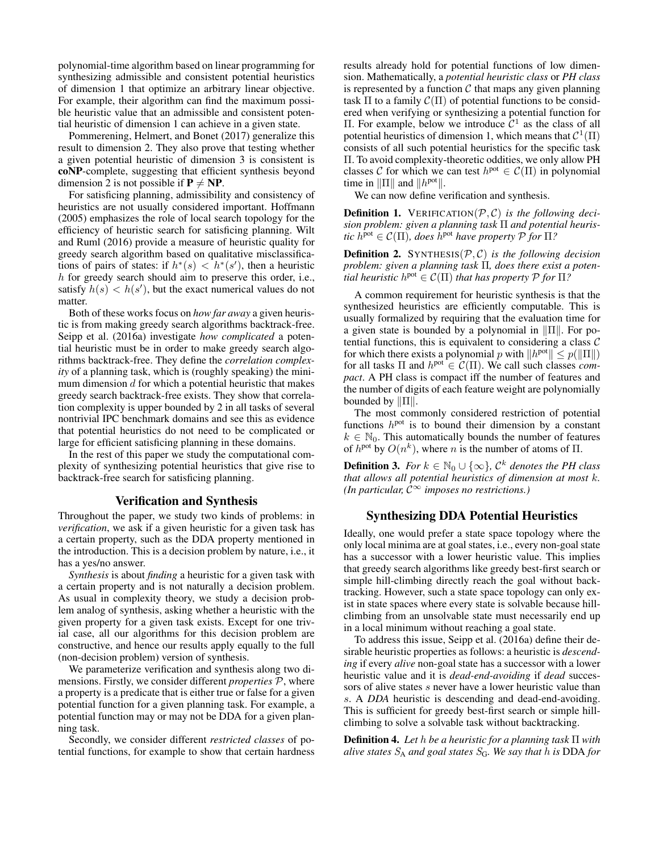polynomial-time algorithm based on linear programming for synthesizing admissible and consistent potential heuristics of dimension 1 that optimize an arbitrary linear objective. For example, their algorithm can find the maximum possible heuristic value that an admissible and consistent potential heuristic of dimension 1 can achieve in a given state.

Pommerening, Helmert, and Bonet (2017) generalize this result to dimension 2. They also prove that testing whether a given potential heuristic of dimension 3 is consistent is coNP-complete, suggesting that efficient synthesis beyond dimension 2 is not possible if  $P \neq NP$ .

For satisficing planning, admissibility and consistency of heuristics are not usually considered important. Hoffmann (2005) emphasizes the role of local search topology for the efficiency of heuristic search for satisficing planning. Wilt and Ruml (2016) provide a measure of heuristic quality for greedy search algorithm based on qualitative misclassifications of pairs of states: if  $h^*(s) < h^*(s')$ , then a heuristic h for greedy search should aim to preserve this order, i.e., satisfy  $h(s) < h(s')$ , but the exact numerical values do not matter.

Both of these works focus on *how far away* a given heuristic is from making greedy search algorithms backtrack-free. Seipp et al. (2016a) investigate *how complicated* a potential heuristic must be in order to make greedy search algorithms backtrack-free. They define the *correlation complexity* of a planning task, which is (roughly speaking) the minimum dimension  $d$  for which a potential heuristic that makes greedy search backtrack-free exists. They show that correlation complexity is upper bounded by 2 in all tasks of several nontrivial IPC benchmark domains and see this as evidence that potential heuristics do not need to be complicated or large for efficient satisficing planning in these domains.

In the rest of this paper we study the computational complexity of synthesizing potential heuristics that give rise to backtrack-free search for satisficing planning.

### Verification and Synthesis

Throughout the paper, we study two kinds of problems: in *verification*, we ask if a given heuristic for a given task has a certain property, such as the DDA property mentioned in the introduction. This is a decision problem by nature, i.e., it has a yes/no answer.

*Synthesis* is about *finding* a heuristic for a given task with a certain property and is not naturally a decision problem. As usual in complexity theory, we study a decision problem analog of synthesis, asking whether a heuristic with the given property for a given task exists. Except for one trivial case, all our algorithms for this decision problem are constructive, and hence our results apply equally to the full (non-decision problem) version of synthesis.

We parameterize verification and synthesis along two dimensions. Firstly, we consider different *properties* P, where a property is a predicate that is either true or false for a given potential function for a given planning task. For example, a potential function may or may not be DDA for a given planning task.

Secondly, we consider different *restricted classes* of potential functions, for example to show that certain hardness results already hold for potential functions of low dimension. Mathematically, a *potential heuristic class* or *PH class* is represented by a function  $C$  that maps any given planning task  $\Pi$  to a family  $\mathcal{C}(\Pi)$  of potential functions to be considered when verifying or synthesizing a potential function for Π. For example, below we introduce  $C<sup>1</sup>$  as the class of all potential heuristics of dimension 1, which means that  $\mathcal{C}^1(\Pi)$ consists of all such potential heuristics for the specific task Π. To avoid complexity-theoretic oddities, we only allow PH classes C for which we can test  $h<sup>pot</sup> \in C(\Pi)$  in polynomial time in  $\|\Pi\|$  and  $\|h^{pot}\|$ .

We can now define verification and synthesis.

Definition 1. VERIFICATION(P, C) *is the following decision problem: given a planning task* Π *and potential heuristic*  $h^{\text{pot}} \in \mathcal{C}(\Pi)$ , does  $h^{\text{pot}}$  have property  $\mathcal{P}$  for  $\Pi$ ?

**Definition 2.** SYNTHESIS( $P, C$ ) *is the following decision problem: given a planning task* Π*, does there exist a potential heuristic*  $h^{pot} \in \mathcal{C}(\Pi)$  *that has property*  $\mathcal{P}$  *for*  $\Pi$ ?

A common requirement for heuristic synthesis is that the synthesized heuristics are efficiently computable. This is usually formalized by requiring that the evaluation time for a given state is bounded by a polynomial in  $\|\Pi\|$ . For potential functions, this is equivalent to considering a class  $C$ for which there exists a polynomial p with  $||h^{pot}|| \leq p(||\Pi||)$ for all tasks  $\Pi$  and  $h^{pot} \in \mathcal{C}(\Pi)$ . We call such classes *compact*. A PH class is compact iff the number of features and the number of digits of each feature weight are polynomially bounded by  $\|\Pi\|$ .

The most commonly considered restriction of potential functions  $h<sup>pot</sup>$  is to bound their dimension by a constant  $k \in \mathbb{N}_0$ . This automatically bounds the number of features of  $h<sup>pot</sup>$  by  $O(n<sup>k</sup>)$ , where n is the number of atoms of  $\Pi$ .

**Definition 3.** For  $k \in \mathbb{N}_0 \cup \{\infty\}$ ,  $\mathcal{C}^k$  denotes the PH class *that allows all potential heuristics of dimension at most* k*. (In particular,*  $\bar{C}^{\infty}$  *imposes no restrictions.)* 

## Synthesizing DDA Potential Heuristics

Ideally, one would prefer a state space topology where the only local minima are at goal states, i.e., every non-goal state has a successor with a lower heuristic value. This implies that greedy search algorithms like greedy best-first search or simple hill-climbing directly reach the goal without backtracking. However, such a state space topology can only exist in state spaces where every state is solvable because hillclimbing from an unsolvable state must necessarily end up in a local minimum without reaching a goal state.

To address this issue, Seipp et al. (2016a) define their desirable heuristic properties as follows: a heuristic is *descending* if every *alive* non-goal state has a successor with a lower heuristic value and it is *dead-end-avoiding* if *dead* successors of alive states s never have a lower heuristic value than s. A *DDA* heuristic is descending and dead-end-avoiding. This is sufficient for greedy best-first search or simple hillclimbing to solve a solvable task without backtracking.

Definition 4. *Let* h *be a heuristic for a planning task* Π *with alive states*  $S_A$  *and goal states*  $S_G$ *. We say that* h *is* DDA *for*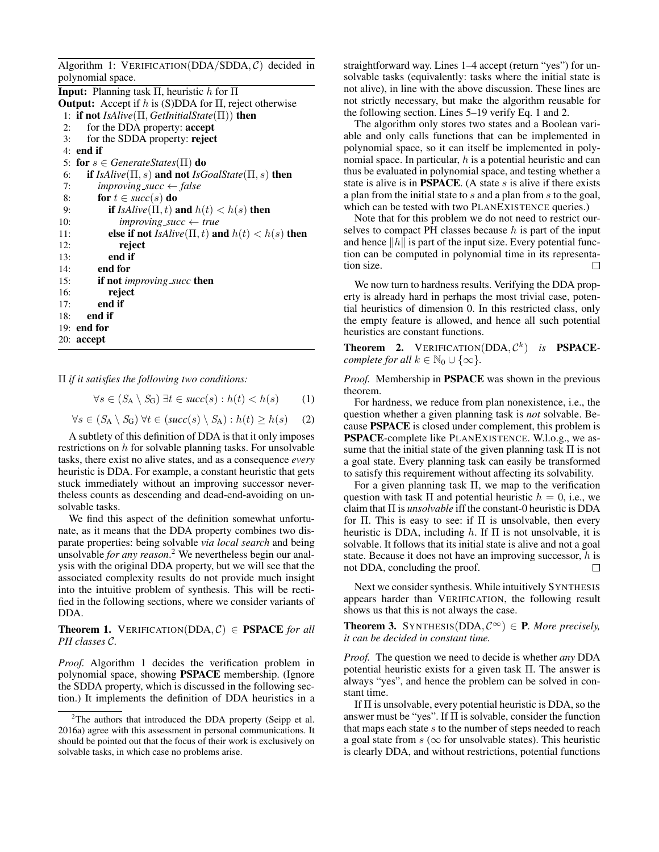| Algorithm 1: VERIFICATION(DDA/SDDA, $C$ ) decided in                          |
|-------------------------------------------------------------------------------|
| polynomial space.                                                             |
| <b>Input:</b> Planning task $\Pi$ , heuristic h for $\Pi$                     |
| <b>Output:</b> Accept if h is (S)DDA for $\Pi$ , reject otherwise             |
| 1: if not IsAlive( $\Pi$ , GetInitialState( $\Pi$ )) then                     |
| for the DDA property: accept<br>2:                                            |
| for the SDDA property: reject<br>3:                                           |
| $4:$ end if                                                                   |
| 5: for $s \in GenerateStates(\Pi)$ do                                         |
| <b>if</b> IsAlive( $\Pi$ , s) and not IsGoalState( $\Pi$ , s) then<br>6:      |
| improving_succ $\leftarrow$ false<br>7:                                       |
| for $t \in succ(s)$ do<br>8:                                                  |
| <b>if</b> IsAlive( $\Pi$ , t) and $h(t) < h(s)$ then<br>9:                    |
| $improving\_succ \leftarrow true$<br>10:                                      |
| else if not <i>IsAlive</i> ( $\Pi$ , <i>t</i> ) and $h(t) < h(s)$ then<br>11: |
| reject<br>12:                                                                 |
| end if<br>13:                                                                 |
| end for<br>14:                                                                |
| <b>if not</b> <i>improving_succ</i> <b>then</b><br>15:                        |
| reject<br>16:                                                                 |
| end if<br>17:                                                                 |
| end if<br>18:                                                                 |
| $19:$ end for                                                                 |
| $20:$ accept                                                                  |

Π *if it satisfies the following two conditions:*

$$
\forall s \in (S_A \setminus S_G) \,\,\exists t \in succ(s) : h(t) < h(s) \tag{1}
$$

$$
\forall s \in (S_A \setminus S_G) \,\forall t \in (succ(s) \setminus S_A) : h(t) \ge h(s) \quad (2)
$$

A subtlety of this definition of DDA is that it only imposes restrictions on h for solvable planning tasks. For unsolvable tasks, there exist no alive states, and as a consequence *every* heuristic is DDA. For example, a constant heuristic that gets stuck immediately without an improving successor nevertheless counts as descending and dead-end-avoiding on unsolvable tasks.

We find this aspect of the definition somewhat unfortunate, as it means that the DDA property combines two disparate properties: being solvable *via local search* and being unsolvable *for any reason*. <sup>2</sup> We nevertheless begin our analysis with the original DDA property, but we will see that the associated complexity results do not provide much insight into the intuitive problem of synthesis. This will be rectified in the following sections, where we consider variants of DDA.

## **Theorem 1.** VERIFICATION(DDA,  $C$ )  $\in$  **PSPACE** for all *PH classes* C*.*

*Proof.* Algorithm 1 decides the verification problem in polynomial space, showing PSPACE membership. (Ignore the SDDA property, which is discussed in the following section.) It implements the definition of DDA heuristics in a straightforward way. Lines 1–4 accept (return "yes") for unsolvable tasks (equivalently: tasks where the initial state is not alive), in line with the above discussion. These lines are not strictly necessary, but make the algorithm reusable for the following section. Lines 5–19 verify Eq. 1 and 2.

The algorithm only stores two states and a Boolean variable and only calls functions that can be implemented in polynomial space, so it can itself be implemented in polynomial space. In particular,  $h$  is a potential heuristic and can thus be evaluated in polynomial space, and testing whether a state is alive is in **PSPACE**. (A state  $s$  is alive if there exists a plan from the initial state to s and a plan from s to the goal, which can be tested with two PLANEXISTENCE queries.)

Note that for this problem we do not need to restrict ourselves to compact PH classes because  $h$  is part of the input and hence  $||h||$  is part of the input size. Every potential function can be computed in polynomial time in its representation size. П

We now turn to hardness results. Verifying the DDA property is already hard in perhaps the most trivial case, potential heuristics of dimension 0. In this restricted class, only the empty feature is allowed, and hence all such potential heuristics are constant functions.

**Theorem 2.** VERIFICATION(DDA,  $\mathcal{C}^k$ ) is **PSPACE***complete for all*  $k \in \mathbb{N}_0 \cup \{\infty\}$ .

*Proof.* Membership in PSPACE was shown in the previous theorem.

For hardness, we reduce from plan nonexistence, i.e., the question whether a given planning task is *not* solvable. Because PSPACE is closed under complement, this problem is PSPACE-complete like PLANEXISTENCE. W.l.o.g., we assume that the initial state of the given planning task  $\Pi$  is not a goal state. Every planning task can easily be transformed to satisfy this requirement without affecting its solvability.

For a given planning task  $\Pi$ , we map to the verification question with task  $\Pi$  and potential heuristic  $h = 0$ , i.e., we claim that Π is *unsolvable* iff the constant-0 heuristic is DDA for  $\Pi$ . This is easy to see: if  $\Pi$  is unsolvable, then every heuristic is DDA, including h. If  $\Pi$  is not unsolvable, it is solvable. It follows that its initial state is alive and not a goal state. Because it does not have an improving successor,  $h$  is not DDA, concluding the proof.  $\Box$ 

Next we consider synthesis. While intuitively SYNTHESIS appears harder than VERIFICATION, the following result shows us that this is not always the case.

**Theorem 3.** SYNTHESIS(DDA,  $\mathcal{C}^{\infty}$ )  $\in$  **P**. More precisely, *it can be decided in constant time.*

*Proof.* The question we need to decide is whether *any* DDA potential heuristic exists for a given task Π. The answer is always "yes", and hence the problem can be solved in constant time.

If Π is unsolvable, every potential heuristic is DDA, so the answer must be "yes". If Π is solvable, consider the function that maps each state  $s$  to the number of steps needed to reach a goal state from  $s$  ( $\infty$  for unsolvable states). This heuristic is clearly DDA, and without restrictions, potential functions

<sup>&</sup>lt;sup>2</sup>The authors that introduced the DDA property (Seipp et al. 2016a) agree with this assessment in personal communications. It should be pointed out that the focus of their work is exclusively on solvable tasks, in which case no problems arise.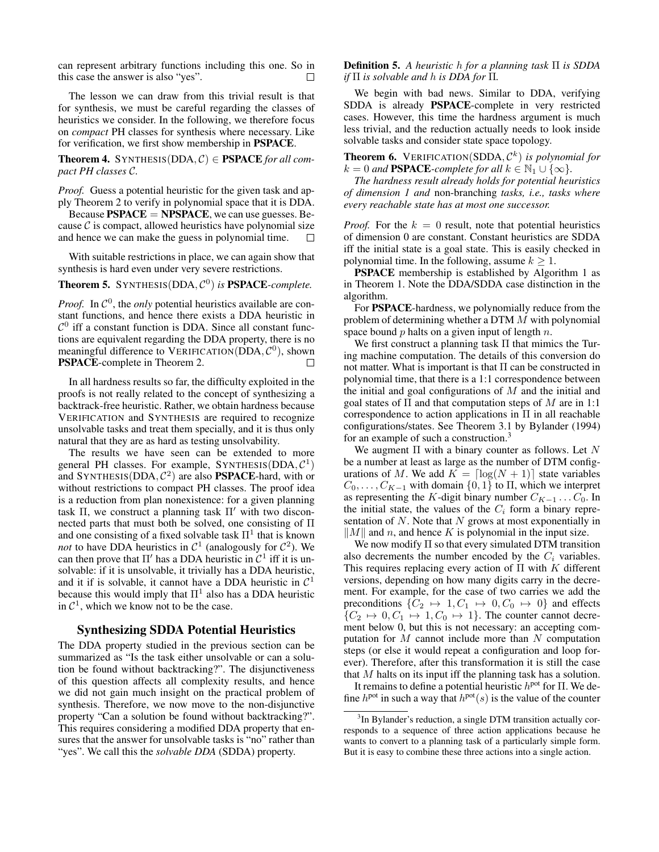can represent arbitrary functions including this one. So in this case the answer is also "yes".

The lesson we can draw from this trivial result is that for synthesis, we must be careful regarding the classes of heuristics we consider. In the following, we therefore focus on *compact* PH classes for synthesis where necessary. Like for verification, we first show membership in PSPACE.

**Theorem 4.** SYNTHESIS( $DDA, C$ )  $\in$  **PSPACE** for all com*pact PH classes* C*.*

*Proof.* Guess a potential heuristic for the given task and apply Theorem 2 to verify in polynomial space that it is DDA.

Because  $PSPACE = NPSPACE$ , we can use guesses. Because  $\mathcal C$  is compact, allowed heuristics have polynomial size and hence we can make the guess in polynomial time.

With suitable restrictions in place, we can again show that synthesis is hard even under very severe restrictions.

Theorem 5. SYNTHESIS(DDA, C 0 ) *is* PSPACE*-complete.*

*Proof.* In  $\mathcal{C}^0$ , the *only* potential heuristics available are constant functions, and hence there exists a DDA heuristic in  $C<sup>0</sup>$  iff a constant function is DDA. Since all constant functions are equivalent regarding the DDA property, there is no meaningful difference to VERIFICATION( $\overline{DDA}, C^0$ ), shown PSPACE-complete in Theorem 2. □

In all hardness results so far, the difficulty exploited in the proofs is not really related to the concept of synthesizing a backtrack-free heuristic. Rather, we obtain hardness because VERIFICATION and SYNTHESIS are required to recognize unsolvable tasks and treat them specially, and it is thus only natural that they are as hard as testing unsolvability.

The results we have seen can be extended to more general PH classes. For example,  $SYNTHESIS(DDA, C<sup>1</sup>)$ and SYNTHESIS(DDA,  $C^2$ ) are also **PSPACE**-hard, with or without restrictions to compact PH classes. The proof idea is a reduction from plan nonexistence: for a given planning task  $\Pi$ , we construct a planning task  $\Pi'$  with two disconnected parts that must both be solved, one consisting of Π and one consisting of a fixed solvable task  $\Pi^1$  that is known *not* to have DDA heuristics in  $C^1$  (analogously for  $C^2$ ). We can then prove that  $\Pi'$  has a DDA heuristic in  $\mathcal{C}^1$  iff it is unsolvable: if it is unsolvable, it trivially has a DDA heuristic, and it if is solvable, it cannot have a DDA heuristic in  $C<sup>1</sup>$ because this would imply that  $\Pi^1$  also has a DDA heuristic in  $C<sup>1</sup>$ , which we know not to be the case.

### Synthesizing SDDA Potential Heuristics

The DDA property studied in the previous section can be summarized as "Is the task either unsolvable or can a solution be found without backtracking?". The disjunctiveness of this question affects all complexity results, and hence we did not gain much insight on the practical problem of synthesis. Therefore, we now move to the non-disjunctive property "Can a solution be found without backtracking?". This requires considering a modified DDA property that ensures that the answer for unsolvable tasks is "no" rather than "yes". We call this the *solvable DDA* (SDDA) property.

Definition 5. *A heuristic* h *for a planning task* Π *is SDDA if* Π *is solvable and* h *is DDA for* Π*.*

We begin with bad news. Similar to DDA, verifying SDDA is already PSPACE-complete in very restricted cases. However, this time the hardness argument is much less trivial, and the reduction actually needs to look inside solvable tasks and consider state space topology.

**Theorem 6.** VERIFICATION(SDDA,  $\mathcal{C}^k$ ) *is polynomial for*  $k = 0$  *and* **PSPACE**-complete for all  $k \in \mathbb{N}_1 \cup \{\infty\}.$ 

*The hardness result already holds for potential heuristics of dimension 1 and* non-branching *tasks, i.e., tasks where every reachable state has at most one successor.*

*Proof.* For the  $k = 0$  result, note that potential heuristics of dimension 0 are constant. Constant heuristics are SDDA iff the initial state is a goal state. This is easily checked in polynomial time. In the following, assume  $k \geq 1$ .

PSPACE membership is established by Algorithm 1 as in Theorem 1. Note the DDA/SDDA case distinction in the algorithm.

For PSPACE-hardness, we polynomially reduce from the problem of determining whether a DTM M with polynomial space bound  $p$  halts on a given input of length  $n$ .

We first construct a planning task Π that mimics the Turing machine computation. The details of this conversion do not matter. What is important is that  $\Pi$  can be constructed in polynomial time, that there is a 1:1 correspondence between the initial and goal configurations of  $M$  and the initial and goal states of  $\Pi$  and that computation steps of M are in 1:1 correspondence to action applications in Π in all reachable configurations/states. See Theorem 3.1 by Bylander (1994) for an example of such a construction.<sup>3</sup>

We augment  $\Pi$  with a binary counter as follows. Let N be a number at least as large as the number of DTM configurations of M. We add  $K = \lceil \log(N + 1) \rceil$  state variables  $C_0, \ldots, C_{K-1}$  with domain  $\{0, 1\}$  to  $\Pi$ , which we interpret as representing the K-digit binary number  $C_{K-1} \ldots C_0$ . In the initial state, the values of the  $C_i$  form a binary representation of  $N$ . Note that  $N$  grows at most exponentially in  $\|M\|$  and n, and hence K is polynomial in the input size.

We now modify  $\Pi$  so that every simulated DTM transition also decrements the number encoded by the  $C_i$  variables. This requires replacing every action of  $\Pi$  with K different versions, depending on how many digits carry in the decrement. For example, for the case of two carries we add the preconditions  $\{C_2 \mapsto 1, C_1 \mapsto 0, C_0 \mapsto 0\}$  and effects  $\{C_2 \mapsto 0, C_1 \mapsto 1, C_0 \mapsto 1\}$ . The counter cannot decrement below 0, but this is not necessary: an accepting computation for  $M$  cannot include more than  $N$  computation steps (or else it would repeat a configuration and loop forever). Therefore, after this transformation it is still the case that M halts on its input iff the planning task has a solution.

It remains to define a potential heuristic  $h<sup>pot</sup>$  for  $\Pi$ . We define  $h<sup>pot</sup>$  in such a way that  $h<sup>pot</sup>(s)$  is the value of the counter

<sup>&</sup>lt;sup>3</sup>In Bylander's reduction, a single DTM transition actually corresponds to a sequence of three action applications because he wants to convert to a planning task of a particularly simple form. But it is easy to combine these three actions into a single action.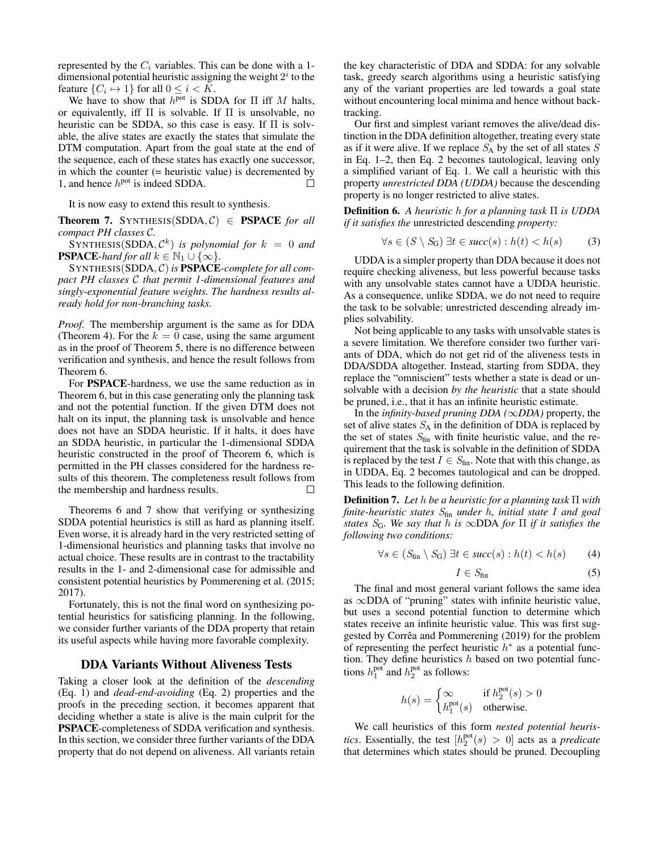represented by the  $C_i$  variables. This can be done with a 1dimensional potential heuristic assigning the weight  $2<sup>i</sup>$  to the feature  $\{C_i \mapsto 1\}$  for all  $0 \le i \le K$ .

We have to show that  $h<sup>pot</sup>$  is SDDA for  $\Pi$  iff  $M$  halts, or equivalently, iff  $\Pi$  is solvable. If  $\Pi$  is unsolvable, no heuristic can be SDDA, so this case is easy. If Π is solvable, the alive states are exactly the states that simulate the DTM computation. Apart from the goal state at the end of the sequence, each of these states has exactly one successor, in which the counter (= heuristic value) is decremented by 1, and hence  $h<sup>pot</sup>$  is indeed SDDA. П

It is now easy to extend this result to synthesis.

**Theorem 7.** SYNTHESIS(SDDA,  $C$ )  $\in$  **PSPACE** for all *compact PH classes* C*.*

 $S\text{YNTHESIS}(\text{SDDA}, \mathcal{C}^k)$  is polynomial for  $k = 0$  and **PSPACE**-hard for all  $k \in \mathbb{N}_1 \cup \{\infty\}$ .

SYNTHESIS(SDDA, C) *is* PSPACE*-complete for all compact PH classes* C *that permit 1-dimensional features and singly-exponential feature weights. The hardness results already hold for non-branching tasks.*

*Proof.* The membership argument is the same as for DDA (Theorem 4). For the  $k = 0$  case, using the same argument as in the proof of Theorem 5, there is no difference between verification and synthesis, and hence the result follows from Theorem 6.

For PSPACE-hardness, we use the same reduction as in Theorem 6, but in this case generating only the planning task and not the potential function. If the given DTM does not halt on its input, the planning task is unsolvable and hence does not have an SDDA heuristic. If it halts, it does have an SDDA heuristic, in particular the 1-dimensional SDDA heuristic constructed in the proof of Theorem 6, which is permitted in the PH classes considered for the hardness results of this theorem. The completeness result follows from the membership and hardness results. П

Theorems 6 and 7 show that verifying or synthesizing SDDA potential heuristics is still as hard as planning itself. Even worse, it is already hard in the very restricted setting of 1-dimensional heuristics and planning tasks that involve no actual choice. These results are in contrast to the tractability results in the 1- and 2-dimensional case for admissible and consistent potential heuristics by Pommerening et al. (2015; 2017).

Fortunately, this is not the final word on synthesizing potential heuristics for satisficing planning. In the following, we consider further variants of the DDA property that retain its useful aspects while having more favorable complexity.

# DDA Variants Without Aliveness Tests

Taking a closer look at the definition of the *descending* (Eq. 1) and *dead-end-avoiding* (Eq. 2) properties and the proofs in the preceding section, it becomes apparent that deciding whether a state is alive is the main culprit for the PSPACE-completeness of SDDA verification and synthesis. In this section, we consider three further variants of the DDA property that do not depend on aliveness. All variants retain the key characteristic of DDA and SDDA: for any solvable task, greedy search algorithms using a heuristic satisfying any of the variant properties are led towards a goal state without encountering local minima and hence without backtracking.

Our first and simplest variant removes the alive/dead distinction in the DDA definition altogether, treating every state as if it were alive. If we replace  $S_A$  by the set of all states  $S$ in Eq. 1–2, then Eq. 2 becomes tautological, leaving only a simplified variant of Eq. 1. We call a heuristic with this property *unrestricted DDA (UDDA)* because the descending property is no longer restricted to alive states.

Definition 6. *A heuristic* h *for a planning task* Π *is UDDA if it satisfies the* unrestricted descending *property:*

$$
\forall s \in (S \setminus S_G) \; \exists t \in succ(s) : h(t) < h(s) \tag{3}
$$

UDDA is a simpler property than DDA because it does not require checking aliveness, but less powerful because tasks with any unsolvable states cannot have a UDDA heuristic. As a consequence, unlike SDDA, we do not need to require the task to be solvable: unrestricted descending already implies solvability.

Not being applicable to any tasks with unsolvable states is a severe limitation. We therefore consider two further variants of DDA, which do not get rid of the aliveness tests in DDA/SDDA altogether. Instead, starting from SDDA, they replace the "omniscient" tests whether a state is dead or unsolvable with a decision *by the heuristic* that a state should be pruned, i.e., that it has an infinite heuristic estimate.

In the *infinity-based pruning DDA (*∞*DDA)* property, the set of alive states  $S_A$  in the definition of DDA is replaced by the set of states  $S<sub>fin</sub>$  with finite heuristic value, and the requirement that the task is solvable in the definition of SDDA is replaced by the test  $I \in S_{fin}$ . Note that with this change, as in UDDA, Eq. 2 becomes tautological and can be dropped. This leads to the following definition.

Definition 7. *Let* h *be a heuristic for a planning task* Π *with finite-heuristic states* Sfin *under* h*, initial state* I *and goal states* SG*. We say that* h *is* ∞DDA *for* Π *if it satisfies the following two conditions:*

$$
\forall s \in (S_{\text{fin}} \setminus S_{\text{G}}) \; \exists t \in succ(s) : h(t) < h(s) \tag{4}
$$

$$
I \in S_{\text{fin}} \tag{5}
$$

The final and most general variant follows the same idea as ∞DDA of "pruning" states with infinite heuristic value, but uses a second potential function to determine which states receive an infinite heuristic value. This was first suggested by Corrêa and Pommerening (2019) for the problem of representing the perfect heuristic  $h^*$  as a potential function. They define heuristics  $h$  based on two potential functions  $h_1^{\text{pot}}$  and  $h_2^{\text{pot}}$  as follows:

$$
h(s)=\begin{cases}\infty & \text{ if } h^{\text{pot}}_2(s)>0 \\ h^{\text{pot}}_1(s) & \text{ otherwise.}\end{cases}
$$

We call heuristics of this form *nested potential heuristics*. Essentially, the test  $[h_2^{\text{pot}}(s) > 0]$  acts as a *predicate* that determines which states should be pruned. Decoupling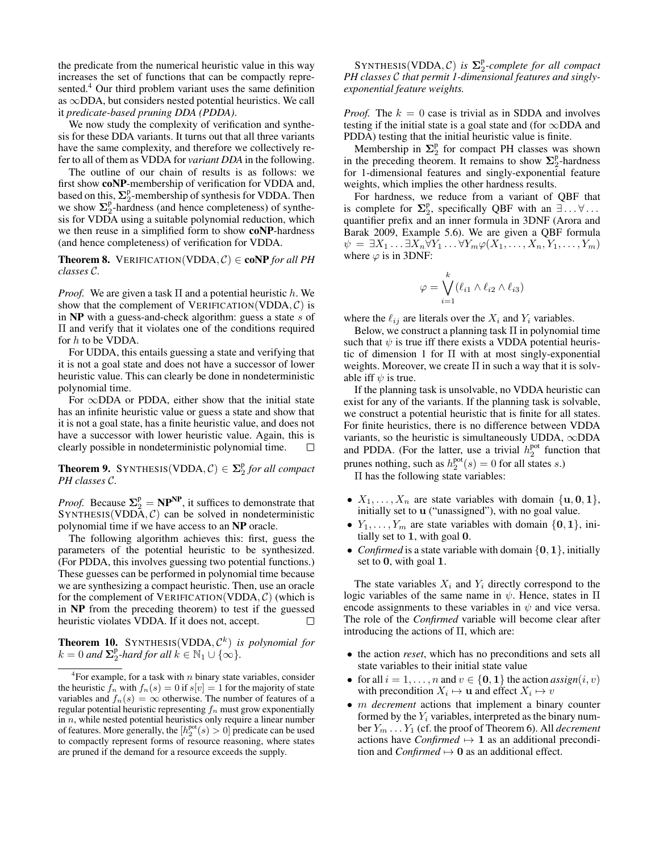the predicate from the numerical heuristic value in this way increases the set of functions that can be compactly represented.<sup>4</sup> Our third problem variant uses the same definition as ∞DDA, but considers nested potential heuristics. We call it *predicate-based pruning DDA (PDDA)*.

We now study the complexity of verification and synthesis for these DDA variants. It turns out that all three variants have the same complexity, and therefore we collectively refer to all of them as VDDA for *variant DDA* in the following.

The outline of our chain of results is as follows: we first show coNP-membership of verification for VDDA and, based on this,  $\Sigma_2^p$ -membership of synthesis for VDDA. Then we show  $\Sigma_2^p$ -hardness (and hence completeness) of synthesis for VDDA using a suitable polynomial reduction, which we then reuse in a simplified form to show coNP-hardness (and hence completeness) of verification for VDDA.

**Theorem 8.** VERIFICATION(VDDA,  $C$ )  $\in$  **coNP** for all PH *classes* C*.*

*Proof.* We are given a task  $\Pi$  and a potential heuristic h. We show that the complement of VERIFICATION(VDDA,  $\mathcal{C}$ ) is in  $NP$  with a guess-and-check algorithm: guess a state  $s$  of Π and verify that it violates one of the conditions required for  $h$  to be VDDA.

For UDDA, this entails guessing a state and verifying that it is not a goal state and does not have a successor of lower heuristic value. This can clearly be done in nondeterministic polynomial time.

For  $\infty$ DDA or PDDA, either show that the initial state has an infinite heuristic value or guess a state and show that it is not a goal state, has a finite heuristic value, and does not have a successor with lower heuristic value. Again, this is clearly possible in nondeterministic polynomial time.  $\Box$ 

**Theorem 9.** SYNTHESIS(VDDA,  $C$ )  $\in \Sigma_2^p$  for all compact *PH classes* C*.*

*Proof.* Because  $\Sigma_2^p = NP^{NP}$ , it suffices to demonstrate that  $SYNTHESIS(VDDA, C)$  can be solved in nondeterministic polynomial time if we have access to an NP oracle.

The following algorithm achieves this: first, guess the parameters of the potential heuristic to be synthesized. (For PDDA, this involves guessing two potential functions.) These guesses can be performed in polynomial time because we are synthesizing a compact heuristic. Then, use an oracle for the complement of VERIFICATION(VDDA,  $C$ ) (which is in NP from the preceding theorem) to test if the guessed heuristic violates VDDA. If it does not, accept.  $\Box$ 

**Theorem 10.** SYNTHESIS(VDDA,  $\mathcal{C}^k$ ) *is polynomial for*  $k = 0$  and  $\sum_{i=1}^{p}$ -hard for all  $k \in \mathbb{N}_1 \cup \{\infty\}$ .

 $SYNTHESIS(VDDA, C)$  is  $\Sigma_2^p$ -complete for all compact *PH classes* C *that permit 1-dimensional features and singlyexponential feature weights.*

*Proof.* The  $k = 0$  case is trivial as in SDDA and involves testing if the initial state is a goal state and (for  $\infty$ DDA and PDDA) testing that the initial heuristic value is finite.

Membership in  $\Sigma_2^p$  for compact PH classes was shown in the preceding theorem. It remains to show  $\Sigma_2^p$ -hardness for 1-dimensional features and singly-exponential feature weights, which implies the other hardness results.

For hardness, we reduce from a variant of QBF that is complete for  $\Sigma_2^p$ , specifically QBF with an  $\exists \dots \forall \dots$ quantifier prefix and an inner formula in 3DNF (Arora and Barak 2009, Example 5.6). We are given a QBF formula  $\psi = \exists X_1 \dots \exists X_n \forall Y_1 \dots \forall Y_m \varphi(X_1, \dots, X_n, Y_1, \dots, Y_m)$ where  $\varphi$  is in 3DNF:

$$
\varphi = \bigvee_{i=1}^k (\ell_{i1} \wedge \ell_{i2} \wedge \ell_{i3})
$$

where the  $\ell_{ij}$  are literals over the  $X_i$  and  $Y_i$  variables.

Below, we construct a planning task  $\Pi$  in polynomial time such that  $\psi$  is true iff there exists a VDDA potential heuristic of dimension 1 for Π with at most singly-exponential weights. Moreover, we create  $\Pi$  in such a way that it is solvable iff  $\psi$  is true.

If the planning task is unsolvable, no VDDA heuristic can exist for any of the variants. If the planning task is solvable, we construct a potential heuristic that is finite for all states. For finite heuristics, there is no difference between VDDA variants, so the heuristic is simultaneously UDDA, ∞DDA and PDDA. (For the latter, use a trivial  $h_2^{\text{pot}}$  function that prunes nothing, such as  $h_2^{\text{pot}}(s) = 0$  for all states s.)

Π has the following state variables:

- $X_1, \ldots, X_n$  are state variables with domain  $\{u, 0, 1\},\$ initially set to u ("unassigned"), with no goal value.
- $Y_1, \ldots, Y_m$  are state variables with domain  $\{0, 1\}$ , initially set to 1, with goal 0.
- *Confirmed* is a state variable with domain  $\{0, 1\}$ , initially set to 0, with goal 1.

The state variables  $X_i$  and  $Y_i$  directly correspond to the logic variables of the same name in  $\psi$ . Hence, states in  $\Pi$ encode assignments to these variables in  $\psi$  and vice versa. The role of the *Confirmed* variable will become clear after introducing the actions of  $\Pi$ , which are:

- the action *reset*, which has no preconditions and sets all state variables to their initial state value
- for all  $i = 1, ..., n$  and  $v \in \{0, 1\}$  the action *assign*(*i*, *v*) with precondition  $X_i \mapsto \mathbf{u}$  and effect  $X_i \mapsto v$
- m *decrement* actions that implement a binary counter formed by the  $Y_i$  variables, interpreted as the binary number  $Y_m \dots Y_1$  (cf. the proof of Theorem 6). All *decrement* actions have *Confirmed*  $\mapsto$  1 as an additional precondition and *Confirmed*  $\mapsto$  0 as an additional effect.

<sup>&</sup>lt;sup>4</sup>For example, for a task with  $n$  binary state variables, consider the heuristic  $f_n$  with  $f_n(s) = 0$  if  $s[v] = 1$  for the majority of state variables and  $f_n(s) = \infty$  otherwise. The number of features of a regular potential heuristic representing  $f_n$  must grow exponentially in  $n$ , while nested potential heuristics only require a linear number of features. More generally, the  $[h_2^{\text{pot}}(s) > 0]$  predicate can be used to compactly represent forms of resource reasoning, where states are pruned if the demand for a resource exceeds the supply.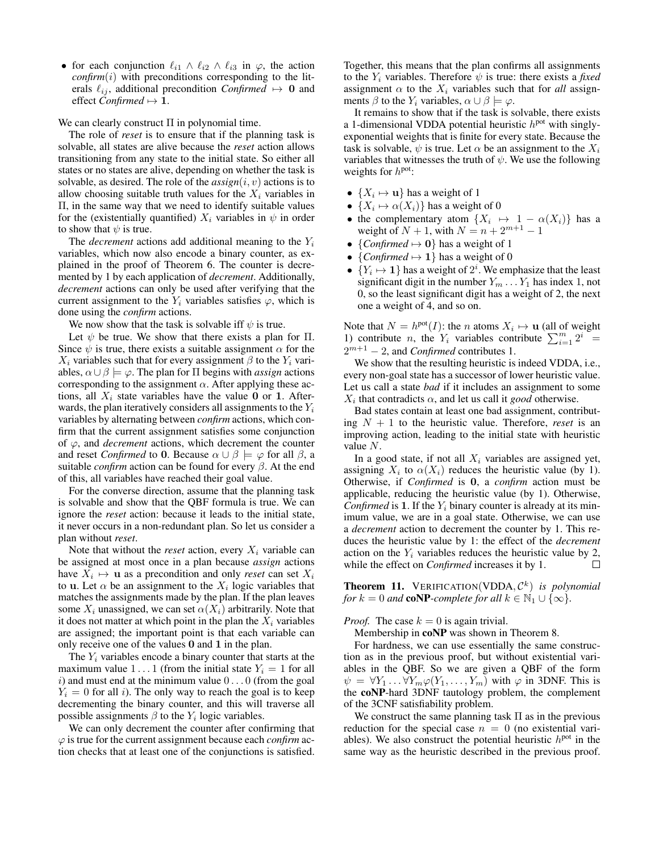• for each conjunction  $\ell_{i1} \wedge \ell_{i2} \wedge \ell_{i3}$  in  $\varphi$ , the action  $confirm(i)$  with preconditions corresponding to the literals  $\ell_{ij}$ , additional precondition *Confirmed*  $\mapsto$  0 and effect *Confirmed*  $\mapsto$  **1**.

#### We can clearly construct Π in polynomial time.

The role of *reset* is to ensure that if the planning task is solvable, all states are alive because the *reset* action allows transitioning from any state to the initial state. So either all states or no states are alive, depending on whether the task is solvable, as desired. The role of the  $assign(i, v)$  actions is to allow choosing suitable truth values for the  $X_i$  variables in Π, in the same way that we need to identify suitable values for the (existentially quantified)  $X_i$  variables in  $\psi$  in order to show that  $\psi$  is true.

The *decrement* actions add additional meaning to the  $Y_i$ variables, which now also encode a binary counter, as explained in the proof of Theorem 6. The counter is decremented by 1 by each application of *decrement*. Additionally, *decrement* actions can only be used after verifying that the current assignment to the  $Y_i$  variables satisfies  $\varphi$ , which is done using the *confirm* actions.

We now show that the task is solvable iff  $\psi$  is true.

Let  $\psi$  be true. We show that there exists a plan for  $\Pi$ . Since  $\psi$  is true, there exists a suitable assignment  $\alpha$  for the  $X_i$  variables such that for every assignment  $\beta$  to the  $Y_i$  variables,  $\alpha \cup \beta \models \varphi$ . The plan for  $\Pi$  begins with *assign* actions corresponding to the assignment  $\alpha$ . After applying these actions, all  $X_i$  state variables have the value 0 or 1. Afterwards, the plan iteratively considers all assignments to the  $Y_i$ variables by alternating between *confirm* actions, which confirm that the current assignment satisfies some conjunction of  $\varphi$ , and *decrement* actions, which decrement the counter and reset *Confirmed* to 0. Because  $\alpha \cup \beta \models \varphi$  for all  $\beta$ , a suitable *confirm* action can be found for every  $\beta$ . At the end of this, all variables have reached their goal value.

For the converse direction, assume that the planning task is solvable and show that the QBF formula is true. We can ignore the *reset* action: because it leads to the initial state, it never occurs in a non-redundant plan. So let us consider a plan without *reset*.

Note that without the *reset* action, every  $X_i$  variable can be assigned at most once in a plan because *assign* actions have  $X_i \mapsto \mathbf{u}$  as a precondition and only *reset* can set  $X_i$ to **u**. Let  $\alpha$  be an assignment to the  $X_i$  logic variables that matches the assignments made by the plan. If the plan leaves some  $X_i$  unassigned, we can set  $\alpha(X_i)$  arbitrarily. Note that it does not matter at which point in the plan the  $X_i$  variables are assigned; the important point is that each variable can only receive one of the values 0 and 1 in the plan.

The  $Y_i$  variables encode a binary counter that starts at the maximum value  $1 \dots 1$  (from the initial state  $Y_i = 1$  for all  $i)$  and must end at the minimum value  $0 \dots 0$  (from the goal  $Y_i = 0$  for all i). The only way to reach the goal is to keep decrementing the binary counter, and this will traverse all possible assignments  $\beta$  to the  $Y_i$  logic variables.

We can only decrement the counter after confirming that ϕ is true for the current assignment because each *confirm* action checks that at least one of the conjunctions is satisfied.

Together, this means that the plan confirms all assignments to the  $Y_i$  variables. Therefore  $\psi$  is true: there exists a *fixed* assignment  $\alpha$  to the  $X_i$  variables such that for *all* assignments  $\beta$  to the  $Y_i$  variables,  $\alpha \cup \beta \models \varphi$ .

It remains to show that if the task is solvable, there exists a 1-dimensional VDDA potential heuristic  $h<sup>pot</sup>$  with singlyexponential weights that is finite for every state. Because the task is solvable,  $\psi$  is true. Let  $\alpha$  be an assignment to the  $X_i$ variables that witnesses the truth of  $\psi$ . We use the following weights for  $h<sup>pot</sup>$ :

- $\{X_i \mapsto \mathbf{u}\}\$  has a weight of 1
- $\{X_i \mapsto \alpha(X_i)\}\)$  has a weight of 0
- the complementary atom  $\{X_i \mapsto 1 \alpha(X_i)\}\)$  has a weight of  $N + 1$ , with  $N = n + 2^{m+1} - 1$
- ${Confirmed \mapsto 0}$  has a weight of 1
- ${Confirmed \mapsto 1}$  has a weight of 0
- ${Y_i \mapsto 1}$  has a weight of  $2^i$ . We emphasize that the least significant digit in the number  $Y_m \dots Y_1$  has index 1, not 0, so the least significant digit has a weight of 2, the next one a weight of 4, and so on.

Note that  $N = h^{\text{pot}}(I)$ : the *n* atoms  $X_i \mapsto \mathbf{u}$  (all of weight 1) contribute *n*, the  $Y_i$  variables contribute  $\sum_{i=1}^{m} 2^i$  =  $2^{m+1}$  – 2, and *Confirmed* contributes 1.

We show that the resulting heuristic is indeed VDDA, i.e., every non-goal state has a successor of lower heuristic value. Let us call a state *bad* if it includes an assignment to some  $X_i$  that contradicts  $\alpha$ , and let us call it *good* otherwise.

Bad states contain at least one bad assignment, contributing  $N + 1$  to the heuristic value. Therefore, *reset* is an improving action, leading to the initial state with heuristic value N.

In a good state, if not all  $X_i$  variables are assigned yet, assigning  $X_i$  to  $\alpha(X_i)$  reduces the heuristic value (by 1). Otherwise, if *Confirmed* is 0, a *confirm* action must be applicable, reducing the heuristic value (by 1). Otherwise, *Confirmed* is 1. If the  $Y_i$  binary counter is already at its minimum value, we are in a goal state. Otherwise, we can use a *decrement* action to decrement the counter by 1. This reduces the heuristic value by 1: the effect of the *decrement* action on the  $Y_i$  variables reduces the heuristic value by 2, while the effect on *Confirmed* increases it by 1.  $\Box$ 

**Theorem 11.** VERIFICATION(VDDA,  $\mathcal{C}^k$ ) is polynomial *for*  $k = 0$  *and* **coNP**-complete for all  $k \in \mathbb{N}_1 \cup \{\infty\}$ .

#### *Proof.* The case  $k = 0$  is again trivial.

Membership in coNP was shown in Theorem 8.

For hardness, we can use essentially the same construction as in the previous proof, but without existential variables in the QBF. So we are given a QBF of the form  $\psi = \forall Y_1 \dots \forall Y_m \varphi(Y_1, \dots, Y_m)$  with  $\varphi$  in 3DNF. This is the coNP-hard 3DNF tautology problem, the complement of the 3CNF satisfiability problem.

We construct the same planning task  $\Pi$  as in the previous reduction for the special case  $n = 0$  (no existential variables). We also construct the potential heuristic  $h<sup>pot</sup>$  in the same way as the heuristic described in the previous proof.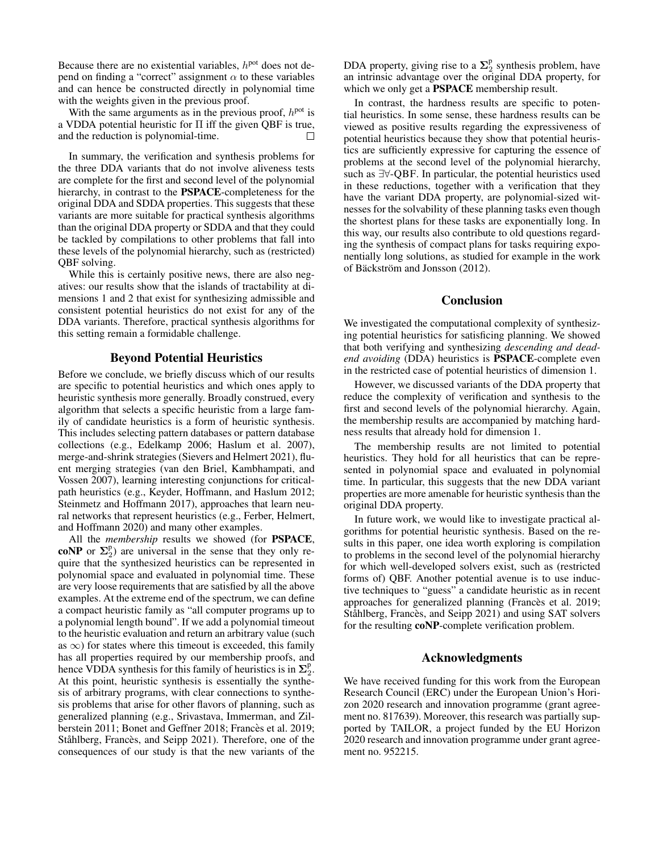Because there are no existential variables,  $h<sup>pot</sup>$  does not depend on finding a "correct" assignment  $\alpha$  to these variables and can hence be constructed directly in polynomial time with the weights given in the previous proof.

With the same arguments as in the previous proof,  $h<sup>pot</sup>$  is a VDDA potential heuristic for Π iff the given QBF is true, and the reduction is polynomial-time.

In summary, the verification and synthesis problems for the three DDA variants that do not involve aliveness tests are complete for the first and second level of the polynomial hierarchy, in contrast to the PSPACE-completeness for the original DDA and SDDA properties. This suggests that these variants are more suitable for practical synthesis algorithms than the original DDA property or SDDA and that they could be tackled by compilations to other problems that fall into these levels of the polynomial hierarchy, such as (restricted) QBF solving.

While this is certainly positive news, there are also negatives: our results show that the islands of tractability at dimensions 1 and 2 that exist for synthesizing admissible and consistent potential heuristics do not exist for any of the DDA variants. Therefore, practical synthesis algorithms for this setting remain a formidable challenge.

## Beyond Potential Heuristics

Before we conclude, we briefly discuss which of our results are specific to potential heuristics and which ones apply to heuristic synthesis more generally. Broadly construed, every algorithm that selects a specific heuristic from a large family of candidate heuristics is a form of heuristic synthesis. This includes selecting pattern databases or pattern database collections (e.g., Edelkamp 2006; Haslum et al. 2007), merge-and-shrink strategies (Sievers and Helmert 2021), fluent merging strategies (van den Briel, Kambhampati, and Vossen 2007), learning interesting conjunctions for criticalpath heuristics (e.g., Keyder, Hoffmann, and Haslum 2012; Steinmetz and Hoffmann 2017), approaches that learn neural networks that represent heuristics (e.g., Ferber, Helmert, and Hoffmann 2020) and many other examples.

All the *membership* results we showed (for PSPACE, coNP or  $\Sigma_2^p$ ) are universal in the sense that they only require that the synthesized heuristics can be represented in polynomial space and evaluated in polynomial time. These are very loose requirements that are satisfied by all the above examples. At the extreme end of the spectrum, we can define a compact heuristic family as "all computer programs up to a polynomial length bound". If we add a polynomial timeout to the heuristic evaluation and return an arbitrary value (such as  $\infty$ ) for states where this timeout is exceeded, this family has all properties required by our membership proofs, and hence VDDA synthesis for this family of heuristics is in  $\Sigma_2^p$ . At this point, heuristic synthesis is essentially the synthesis of arbitrary programs, with clear connections to synthesis problems that arise for other flavors of planning, such as generalized planning (e.g., Srivastava, Immerman, and Zilberstein 2011; Bonet and Geffner 2018; Francès et al. 2019; Ståhlberg, Francès, and Seipp 2021). Therefore, one of the consequences of our study is that the new variants of the

DDA property, giving rise to a  $\Sigma_2^p$  synthesis problem, have an intrinsic advantage over the original DDA property, for which we only get a **PSPACE** membership result.

In contrast, the hardness results are specific to potential heuristics. In some sense, these hardness results can be viewed as positive results regarding the expressiveness of potential heuristics because they show that potential heuristics are sufficiently expressive for capturing the essence of problems at the second level of the polynomial hierarchy, such as ∃∀-QBF. In particular, the potential heuristics used in these reductions, together with a verification that they have the variant DDA property, are polynomial-sized witnesses for the solvability of these planning tasks even though the shortest plans for these tasks are exponentially long. In this way, our results also contribute to old questions regarding the synthesis of compact plans for tasks requiring exponentially long solutions, as studied for example in the work of Bäckström and Jonsson (2012).

## Conclusion

We investigated the computational complexity of synthesizing potential heuristics for satisficing planning. We showed that both verifying and synthesizing *descending and deadend avoiding* (DDA) heuristics is PSPACE-complete even in the restricted case of potential heuristics of dimension 1.

However, we discussed variants of the DDA property that reduce the complexity of verification and synthesis to the first and second levels of the polynomial hierarchy. Again, the membership results are accompanied by matching hardness results that already hold for dimension 1.

The membership results are not limited to potential heuristics. They hold for all heuristics that can be represented in polynomial space and evaluated in polynomial time. In particular, this suggests that the new DDA variant properties are more amenable for heuristic synthesis than the original DDA property.

In future work, we would like to investigate practical algorithms for potential heuristic synthesis. Based on the results in this paper, one idea worth exploring is compilation to problems in the second level of the polynomial hierarchy for which well-developed solvers exist, such as (restricted forms of) QBF. Another potential avenue is to use inductive techniques to "guess" a candidate heuristic as in recent approaches for generalized planning (Francès et al. 2019; Ståhlberg, Francès, and Seipp 2021) and using SAT solvers for the resulting coNP-complete verification problem.

## Acknowledgments

We have received funding for this work from the European Research Council (ERC) under the European Union's Horizon 2020 research and innovation programme (grant agreement no. 817639). Moreover, this research was partially supported by TAILOR, a project funded by the EU Horizon 2020 research and innovation programme under grant agreement no. 952215.